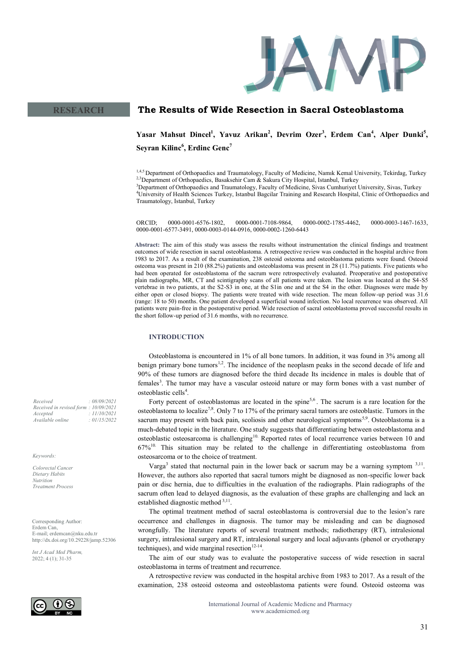

#### **The Results of Wide Resection in Sacral Osteoblastoma RESEARCH**

Yasar Mahsut Dincel<sup>1</sup>, Yavuz Arikan<sup>2</sup>, Devrim Ozer<sup>3</sup>, Erdem Can<sup>4</sup>, Alper Dunki<sup>5</sup>, **Seyran Kilinc<sup>6</sup> , Erdinc Genc<sup>7</sup>**

1,4,5 Department of Orthopaedics and Traumatology, Faculty of Medicine, Namik Kemal University, Tekirdag, Turkey <sup>2,3</sup>Department of Orthopaedics, Basaksehir Cam & Sakura City Hospital, Istanbul, Turkey

<sup>3</sup>Department of Orthopaedics and Traumatology, Faculty of Medicine, Sivas Cumhuriyet University, Sivas, Turkey <sup>4</sup>University of Health Sciences Turkey, Istanbul Bagcilar Training and Research Hospital, Clinic of Orthopaedics and Traumatology, Istanbul, Turkey

ORCID; 0000-0001-6576-1802, 0000-0001-7108-9864, 0000-0002-1785-4462, 0000-0003-1467-1633, 0000-0001-6577-3491, 0000-0003-0144-0916, 0000-0002-1260-6443

**Abstract:** The aim of this study was assess the results without instrumentation the clinical findings and treatment outcomes of wide resection in sacral osteoblastoma. A retrospective review was conducted in the hospital archive from 1983 to 2017. As a result of the examination, 238 osteoid osteoma and osteoblastoma patients were found. Osteoid osteoma was present in 210 (88.2%) patients and osteoblastoma was present in 28 (11.7%) patients. Five patients who had been operated for osteoblastoma of the sacrum were retrospectively evaluated. Preoperative and postoperative plain radiographs, MR, CT and scintigraphy scans of all patients were taken. The lesion was located at the S4-S5 vertebrae in two patients, at the S2-S3 in one, at the S1in one and at the S4 in the other. Diagnoses were made by either open or closed biopsy. The patients were treated with wide resection. The mean follow-up period was 31.6 (range: 18 to 50) months. One patient developed a superficial wound infection. No local recurrence was observed. All patients were pain-free in the postoperative period. Wide resection of sacral osteoblastoma proved successful results in the short follow-up period of 31.6 months, with no recurrence.

# **INTRODUCTION**

Osteoblastoma is encountered in 1% of all bone tumors. In addition, it was found in 3% among all benign primary bone tumors<sup>1,2</sup>. The incidence of the neoplasm peaks in the second decade of life and 90% of these tumors are diagnosed before the third decade Its incidence in males is double that of females<sup>3</sup>. The tumor may have a vascular osteoid nature or may form bones with a vast number of osteoblastic cells<sup>4</sup>.

Forty percent of osteoblastomas are located in the spine<sup>5,6</sup>. The sacrum is a rare location for the osteoblastoma to localize<sup>7,8</sup>. Only 7 to 17% of the primary sacral tumors are osteoblastic. Tumors in the sacrum may present with back pain, scoliosis and other neurological symptoms<sup>5,9</sup>. Osteoblastoma is a much-debated topic in the literature. One study suggests that differentiating between osteoblastoma and osteoblastic osteosarcoma is challenging<sup>10</sup>. Reported rates of local recurrence varies between 10 and 67%10. This situation may be related to the challenge in differentiating osteoblastoma from osteosarcoma or to the choice of treatment.

Varga<sup>3</sup> stated that nocturnal pain in the lower back or sacrum may be a warning symptom  $3,11$ . However, the authors also reported that sacral tumors might be diagnosed as non-specific lower back pain or disc hernia, due to difficulties in the evaluation of the radiographs. Plain radiographs of the sacrum often lead to delayed diagnosis, as the evaluation of these graphs are challenging and lack an established diagnostic method 3,11.

The optimal treatment method of sacral osteoblastoma is controversial due to the lesion's rare occurrence and challenges in diagnosis. The tumor may be misleading and can be diagnosed wrongfully. The literature reports of several treatment methods; radiotherapy (RT), intralesional surgery, intralesional surgery and RT, intralesional surgery and local adjuvants (phenol or cryotherapy techniques), and wide marginal resection $12-14$ .

The aim of our study was to evaluate the postoperative success of wide resection in sacral osteoblastoma in terms of treatment and recurrence.

A retrospective review was conducted in the hospital archive from 1983 to 2017. As a result of the examination, 238 osteoid osteoma and osteoblastoma patients were found. Osteoid osteoma was

*Received : 08/09/2021 Received in revised form : 10/09/2021 Accepted : 11/10/2021 Available online : 01/15/2022*

*Keywords:*

*Colorectal Cancer Dietary Habits Nutrition Treatment Process* 

Corresponding Author: Erdem Can, E-mail; erdemcan@nku.edu.tr http://dx.doi.org/10.29228/jamp.52306

*Int J Acad Med Pharm,* 2022; 4 (1); 31-35

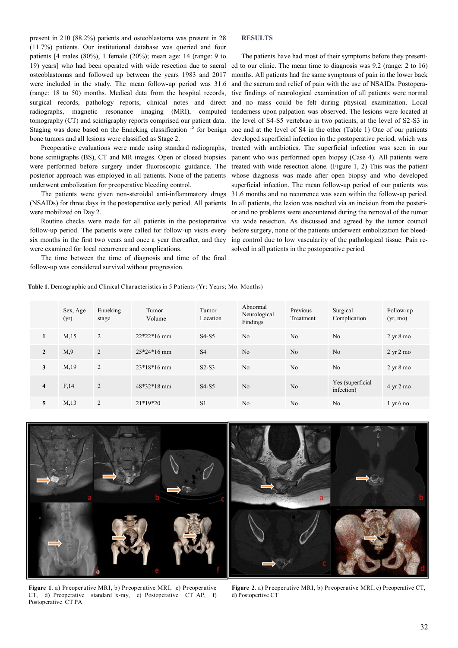present in 210 (88.2%) patients and osteoblastoma was present in 28 (11.7%) patients. Our institutional database was queried and four patients [4 males (80%), 1 female (20%); mean age: 14 (range: 9 to 19) years] who had been operated with wide resection due to sacral osteoblastomas and followed up between the years 1983 and 2017 were included in the study. The mean follow-up period was 31.6 (range: 18 to 50) months. Medical data from the hospital records, surgical records, pathology reports, clinical notes and direct radiographs, magnetic resonance imaging (MRI), computed tomography (CT) and scintigraphy reports comprised our patient data. Staging was done based on the Enneking classification <sup>15</sup> for benign bone tumors and all lesions were classified as Stage 2.

Preoperative evaluations were made using standard radiographs, bone scintigraphs (BS), CT and MR images. Open or closed biopsies were performed before surgery under fluoroscopic guidance. The posterior approach was employed in all patients. None of the patients underwent embolization for preoperative bleeding control.

The patients were given non-steroidal anti-inflammatory drugs (NSAIDs) for three days in the postoperative early period. All patients were mobilized on Day 2.

Routine checks were made for all patients in the postoperative follow-up period. The patients were called for follow-up visits every six months in the first two years and once a year thereafter, and they were examined for local recurrence and complications.

The time between the time of diagnosis and time of the final follow-up was considered survival without progression.

# **RESULTS**

The patients have had most of their symptoms before they presented to our clinic. The mean time to diagnosis was 9.2 (range: 2 to 16) months. All patients had the same symptoms of pain in the lower back and the sacrum and relief of pain with the use of NSAIDs. Postoperative findings of neurological examination of all patients were normal and no mass could be felt during physical examination. Local tenderness upon palpation was observed. The lesions were located at the level of S4-S5 vertebrae in two patients, at the level of S2-S3 in one and at the level of S4 in the other (Table 1) One of our patients developed superficial infection in the postoperative period, which was treated with antibiotics. The superficial infection was seen in our patient who was performed open biopsy (Case 4). All patients were treated with wide resection alone. (Figure 1, 2) This was the patient whose diagnosis was made after open biopsy and who developed superficial infection. The mean follow-up period of our patients was 31.6 months and no recurrence was seen within the follow-up period. In all patients, the lesion was reached via an incision from the posterior and no problems were encountered during the removal of the tumor via wide resection. As discussed and agreed by the tumor council before surgery, none of the patients underwent embolization for bleeding control due to low vascularity of the pathological tissue. Pain resolved in all patients in the postoperative period.

**Table 1.** Demographic and Clinical Characteristics in 5 Patients (Yr: Years; Mo: Months)

|                         | Sex, Age<br>(yr) | Enneking<br>stage | Tumor<br>Volume | Tumor<br>Location              | Abnormal<br>Neurological<br>Findings | Previous<br>Treatment | Surgical<br>Complication        | Follow-up<br>(yr, mo)       |
|-------------------------|------------------|-------------------|-----------------|--------------------------------|--------------------------------------|-----------------------|---------------------------------|-----------------------------|
| 1                       | M,15             | 2                 | $22*22*16$ mm   | S <sub>4</sub> -S <sub>5</sub> | N <sub>0</sub>                       | No                    | No                              | $2 \text{ yr} 8 \text{ mo}$ |
| $\mathbf{2}$            | M <sub>0</sub>   | 2                 | $25*24*16$ mm   | <b>S4</b>                      | No                                   | No                    | No                              | $2 \text{ yr} 2 \text{ mo}$ |
| 3                       | M,19             | 2                 | $23*18*16$ mm   | $S2-S3$                        | N <sub>0</sub>                       | No                    | N <sub>0</sub>                  | $2 \text{ yr} 8 \text{ mo}$ |
| $\overline{\mathbf{4}}$ | F,14             | 2                 | $48*32*18$ mm   | $S4-S5$                        | No                                   | No                    | Yes (superficial)<br>infection) | $4 \text{ yr} 2 \text{ mo}$ |
| 5                       | M <sub>13</sub>  | 2                 | $21*19*20$      | S <sub>1</sub>                 | N <sub>0</sub>                       | N <sub>o</sub>        | N <sub>0</sub>                  | $1 \times 6$ no             |



**Figure 1**. a) Preoperative MRI, b) Preoperative MRI, c) Preoperative CT, d) Preoperative standard x-ray, e) Postoperative CT AP, f) Postoperative CT PA

**Figure 2**. a) Preoperative MRI, b) Preoperative MRI, c) Preoperative CT, d) Postopertive CT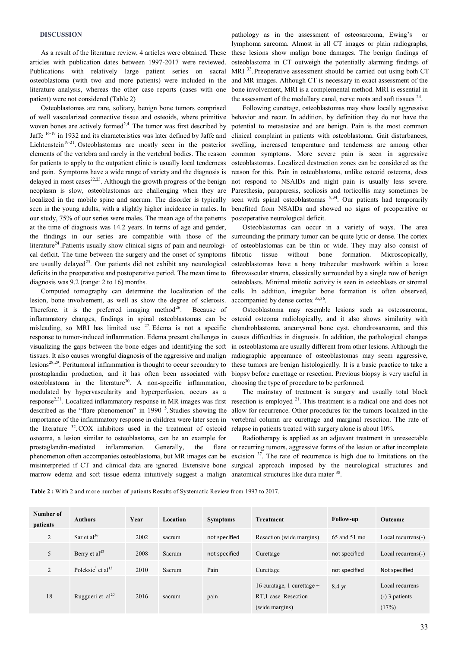# **DISCUSSION**

As a result of the literature review, 4 articles were obtained. These articles with publication dates between 1997-2017 were reviewed. Publications with relatively large patient series on sacral literature analysis, whereas the other case reports (cases with one patient) were not considered (Table 2)

Osteoblastomas are rare, solitary, benign bone tumors comprised of well vascularized connective tissue and osteoids, where primitive woven bones are actively formed<sup>2,4.</sup> The tumor was first described by Jaffe <sup>16</sup>-<sup>19</sup> in 1932 and its characteristics was later defined by Jaffe and Lichtenstein<sup>19-21</sup>. Osteoblastomas are mostly seen in the posterior elements of the vertebra and rarely in the vertebral bodies. The reason for patients to apply to the outpatient clinic is usually local tenderness and pain. Symptoms have a wide range of variety and the diagnosis is delayed in most cases $2^{2,23}$ . Although the growth progress of the benign neoplasm is slow, osteoblastomas are challenging when they are Paresthesia, paraparesis, scoliosis and torticollis may sometimes be localized in the mobile spine and sacrum. The disorder is typically seen in the young adults, with a slightly higher incidence in males. In benefited from NSAIDs and showed no signs of preoperative or our study, 75% of our series were males. The mean age of the patients at the time of diagnosis was 14.2 years. In terms of age and gender, the findings in our series are compatible with those of the surrounding the primary tumor can be quite lytic or dense. The cortex literature<sup>24</sup>. Patients usually show clinical signs of pain and neurological deficit. The time between the surgery and the onset of symptoms are usually delayed<sup>25</sup>. Our patients did not exhibit any neurological deficits in the preoperative and postoperative period. The mean time to diagnosis was 9.2 (range: 2 to 16) months.

Computed tomography can determine the localization of the lesion, bone involvement, as well as show the degree of sclerosis. Therefore, it is the preferred imaging method<sup>26</sup>. Because of inflammatory changes, findings in spinal osteoblastomas can be misleading, so MRI has limited use  $27$ . Edema is not a specific response to tumor-induced inflammation. Edema present challenges in visualizing the gaps between the bone edges and identifying the soft tissues. It also causes wrongful diagnosis of the aggressive and malign lesions28,29. Peritumoral inflammation is thought to occur secondary to prostaglandin production, and it has often been associated with osteoblastoma in the literature<sup>30</sup>. A non-specific inflammation, modulated by hypervascularity and hyperperfusion, occurs as a response2,31. Localized inflammatory response in MR images was first described as the "flare phenomenon" in 1990  $<sup>5</sup>$ . Studies showing the</sup> importance of the inflammatory response in children were later seen in the literature <sup>32</sup>. COX inhibitors used in the treatment of osteoid osteoma, a lesion similar to osteoblastoma, can be an example for prostaglandin-mediated inflammation. Generally, the flare phenomenon often accompanies osteoblastoma, but MR images can be excision <sup>37</sup>. The rate of recurrence is high due to limitations on the misinterpreted if CT and clinical data are ignored. Extensive bone surgical approach imposed by the neurological structures and marrow edema and soft tissue edema intuitively suggest a malign anatomical structures like dura mater <sup>38</sup>.

osteoblastoma (with two and more patients) were included in the and MR images. Although CT is necessary in exact assessment of the pathology as in the assessment of osteosarcoma, Ewing's lymphoma sarcoma. Almost in all CT images or plain radiographs, these lesions show malign bone damages. The benign findings of osteoblastoma in CT outweigh the potentially alarming findings of MRI <sup>33</sup>. Preoperative assessment should be carried out using both CT bone involvement, MRI is a complemental method. MRI is essential in the assessment of the medullary canal, nerve roots and soft tissues  $24$ .

> Following curettage, osteoblastomas may show locally aggressive behavior and recur. In addition, by definition they do not have the potential to metastasize and are benign. Pain is the most common clinical complaint in patients with osteoblastoma. Gait disturbances, swelling, increased temperature and tenderness are among other common symptoms. More severe pain is seen in aggressive osteoblastomas. Localized destruction zones can be considered as the reason for this. Pain in osteoblastoma, unlike osteoid osteoma, does not respond to NSAIDs and night pain is usually less severe. seen with spinal osteoblastomas  $8,34$ . Our patients had temporarily postoperative neurological deficit.

> Osteoblastomas can occur in a variety of ways. The area of osteoblastomas can be thin or wide. They may also consist of fibrotic tissue without bone formation. Microscopically, osteoblastomas have a bony trabecular meshwork within a loose fibrovascular stroma, classically surrounded by a single row of benign osteoblasts. Minimal mitotic activity is seen in osteoblasts or stromal cells. In addition, irregular bone formation is often observed, accompanied by dense cortex <sup>35,36</sup>.

> Osteoblastoma may resemble lesions such as osteosarcoma, osteoid osteoma radiologically, and it also shows similarity with chondroblastoma, aneurysmal bone cyst, chondrosarcoma, and this causes difficulties in diagnosis. In addition, the pathological changes in osteoblastoma are usually different from other lesions. Although the radiographic appearance of osteoblastomas may seem aggressive, these tumors are benign histologically. It is a basic practice to take a biopsy before curettage or resection. Previous biopsy is very useful in choosing the type of procedure to be performed.

> The mainstay of treatment is surgery and usually total block resection is employed <sup>21</sup>. This treatment is a radical one and does not allow for recurrence. Other procedures for the tumors localized in the vertebral column are curettage and marginal resection. The rate of relapse in patients treated with surgery alone is about 10%.

> Radiotherapy is applied as an adjuvant treatment in unresectable or recurring tumors, aggressive forms of the lesion or after incomplete

**Table 2 :** With 2 and more number of patients Results of Systematic Review from 1997 to 2017.

| Number of<br>patients | <b>Authors</b>                           | Year | Location | <b>Symptoms</b> | <b>Treatment</b>                                                                  | <b>Follow-up</b> | <b>Outcome</b>                               |
|-----------------------|------------------------------------------|------|----------|-----------------|-----------------------------------------------------------------------------------|------------------|----------------------------------------------|
| $\overline{2}$        | Sar et al <sup>36</sup>                  | 2002 | sacrum   | not specified   | Resection (wide margins)                                                          | 65 and 51 mo     | Local recurrens(-)                           |
| 5                     | Berry et $al43$                          | 2008 | Sacrum   | not specified   | Curettage                                                                         | not specified    | Local recurrens(-)                           |
| $\overline{2}$        | Poleksic $^{\prime}$ et al <sup>13</sup> | 2010 | Sacrum   | Pain            | Curettage                                                                         | not specified    | Not specified                                |
| 18                    | Ruggueri et al <sup>20</sup>             | 2016 | sacrum   | pain            | 16 curatage, 1 curettage $+$<br>RT <sub>.1</sub> case Resection<br>(wide margins) | $8.4 \text{ yr}$ | Local recurrens<br>$(-)$ 3 patients<br>(17%) |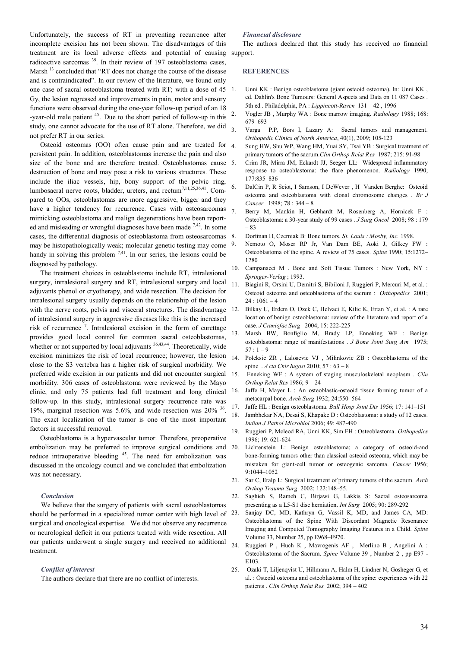Unfortunately, the success of RT in preventing recurrence after incomplete excision has not been shown. The disadvantages of this treatment are its local adverse effects and potential of causing radioactive sarcomas <sup>39</sup>. In their review of 197 osteoblastoma cases, Marsh <sup>13</sup> concluded that "RT does not change the course of the disease and is contraindicated". In our review of the literature, we found only one case of sacral osteoblastoma treated with RT; with a dose of 45 Gy, the lesion regressed and improvements in pain, motor and sensory functions were observed during the one-year follow-up period of an 18 -year-old male patient  $40$ . Due to the short period of follow-up in this study, one cannot advocate for the use of RT alone. Therefore, we did not prefer RT in our series.

Osteoid osteomas (OO) often cause pain and are treated for persistent pain. In addition, osteoblastomas increase the pain and also size of the bone and are therefore treated. Osteoblastomas cause destruction of bone and may pose a risk to various structures. These include the iliac vessels, hip, bony support of the pelvic ring, lumbosacral nerve roots, bladder, ureters, and rectum<sup>7,11,25,36,41</sup>. Compared to OOs, osteoblastomas are more aggressive, bigger and they have a higher tendency for recurrence. Cases with osteosarcomas 7 mimicking osteoblastoma and malign degenerations have been reported and misleading or wrongful diagnoses have been made  $^{7,42}$ . In some cases, the differential diagnosis of osteoblastoma from osteosarcomas 8. may be histopathologically weak; molecular genetic testing may come handy in solving this problem  $^{7,41}$ . In our series, the lesions could be diagnosed by pathology.

The treatment choices in osteoblastoma include RT, intralesional surgery, intralesional surgery and RT, intralesional surgery and local adjuvants phenol or cryotherapy, and wide resection. The decision for intralesional surgery usually depends on the relationship of the lesion with the nerve roots, pelvis and visceral structures. The disadvantage of intralesional surgery in aggressive diseases like this is the increased risk of recurrence <sup>7</sup> . Intralesional excision in the form of curettage provides good local control for common sacral osteoblastomas, whether or not supported by local adjuvants <sup>36,43,44</sup>. Theoretically, wide excision minimizes the risk of local recurrence; however, the lesion close to the S3 vertebra has a higher risk of surgical morbidity. We preferred wide excision in our patients and did not encounter surgical morbidity. 306 cases of osteoblastoma were reviewed by the Mayo clinic, and only 75 patients had full treatment and long clinical follow-up. In this study, intralesional surgery recurrence rate was 19%, marginal resection was 5.6%, and wide resection was 20% <sup>36</sup> . The exact localization of the tumor is one of the most important factors in successful removal.

Osteoblastoma is a hypervascular tumor. Therefore, preoperative embolization may be preferred to improve surgical conditions and reduce intraoperative bleeding <sup>45</sup>. The need for embolization was discussed in the oncology council and we concluded that embolization was not necessary.

### *Conclusion*

We believe that the surgery of patients with sacral osteoblastomas should be performed in a specialized tumor center with high level of <sup>23.</sup> surgical and oncological expertise. We did not observe any recurrence or neurological deficit in our patients treated with wide resection. All our patients underwent a single surgery and received no additional treatment.

#### *Conflict of interest*

The authors declare that there are no conflict of interests.

## *Financıal disclosure*

The authors declared that this study has received no financial support.

## **REFERENCES**

- Unni KK : Benign osteoblastoma (giant osteoid osteoma). In: Unni KK, ed. Dahlin's Bone Tumours: General Aspects and Data on 11 087 Cases . 5th ed . Philadelphia, PA : *Lippincott-Raven* 131 – 42 , 1996
- 2. Vogler JB , Murphy WA : Bone marrow imaging. *Radiology* 1988; 168: 679–693
- Varga P.P, Bors I, Lazary A: Sacral tumors and management. *Orthopedic Clinics of North America*, 40(1), 2009; 105-123
- Sung HW, Shu WP, Wang HM, Yuai SY, Tsai YB : Surgical treatment of primary tumors of the sacrum.*Clin Orthop Relat Res* 1987; 215: 91-98
- 5. Crim JR, Mirra JM, Eckardt JJ, Seeger LL: Widespread inflammatory response to osteoblastoma: the flare phenomenon. *Radiology* 1990; 177:835–836
- 6. DalCin P, R Sciot, I Samson, I DeWever , H Vanden Berghe: Osteoid osteoma and osteoblastoma with clonal chromosome changes . *Br J Cancer* 1998; 78 : 344 – 8
- 7. Berry M, Mankin H, Gebhardt M, Rosenberg A, Hornicek F : Osteoblastoma: a 30-year study of 99 cases . *J Surg Oncol* 2008; 98 : 179 – 83
- 8. Dorfman H, Czerniak B: Bone tumors. *St. Louis : Mosby, Inc.* 1998.
- 9. Nemoto O, Moser RP Jr, Van Dam BE, Aoki J, Gilkey FW : Osteoblastoma of the spine. A review of 75 cases. *Spine* 1990; 15:1272– 1280
- 10. Campanacci M . Bone and Soft Tissue Tumors : New York, NY : *Springer-Verlag* ; 1993.
- 11. Biagini R, Orsini U, Demitri S, Bibiloni J, Ruggieri P, Mercuri M, et al. : Osteoid osteoma and osteoblastoma of the sacrum : *Orthopedics* 2001;  $24:1061-4$
- 12. Bilkay U, Erdem O, Ozek C, Helvaci E, Kilic K, Ertan Y, et al. : A rare location of benign osteoblastoma: review of the literature and report of a case. *J Craniofac Surg* 2004; 15: 222-225
- 13. Marsh BW, Bonfiglio M, Brady LP, Enneking WF : Benign osteoblastoma: range of manifestations . *J Bone Joint Surg Am* 1975;  $57 : 1 - 9$
- 14. Poleksic ZR , Lalosevic VJ , Milinkovic ZB : Osteoblastoma of the spine . *Acta Chir Iugosl* 2010; 57 : 63 – 8
- 15. Enneking WF : A system of staging musculoskeletal neoplasm . *Clin Orthop Relat Res* 1986; 9 – 24
- 16. Jaffe H, Mayer L : An osteoblastic-osteoid tissue forming tumor of a metacarpal bone. *Arch Surg* 1932; 24:550–564
- 17. Jaffe HL : Benign osteoblastoma. *Bull Hosp Joint Dis* 1956; 17: 141–151
- 18. Jambhekar NA, Desai S, Khapake D : Osteoblastoma: a study of 12 cases. *Indian J Pathol Microbiol* 2006; 49: 487-490
- 19. Ruggieri P, Mcleod RA, Unni KK, Sim FH : Osteoblastoma. *Orthopedics*  1996; 19: 621-624
- 20. Lichtenstein L: Benign osteoblastoma; a category of osteoid-and bone-forming tumors other than classical osteoid osteoma, which may be mistaken for giant-cell tumor or osteogenic sarcoma. *Cancer* 1956; 9:1044–1052
- 21. Sar C, Eralp L: Surgical treatment of primary tumors of the sacrum. *Arch Orthop Trauma Surg* 2002; 122:148–55.
- 22. Saghieh S, Rameh C, Birjawi G, Lakkis S: Sacral osteosarcoma presenting as a L5-S1 disc herniation. *Int Surg* 2005; 90: 289-292
- Sanjay DC, MD, Kathryn G, Vassil K, MD, and James CA, MD: Osteoblastoma of the Spine With Discordant Magnetic Resonance Imaging and Computed Tomography Imaging Features in a Child. *Spine* Volume 33, Number 25, pp E968–E970.
- 24. Ruggieri P , Huch K , Mavrogenis AF , Merlino B , Angelini A : Osteoblastoma of the Sacrum. *Spine* Volume 39 , Number 2 , pp E97 - E103.
- 25. Ozaki T, Liljenqvist U, Hillmann A, Halm H, Lindner N, Gosheger G, et al. : Osteoid osteoma and osteoblastoma of the spine: experiences with 22 patients . *Clin Orthop Relat Res* 2002; 394 – 402